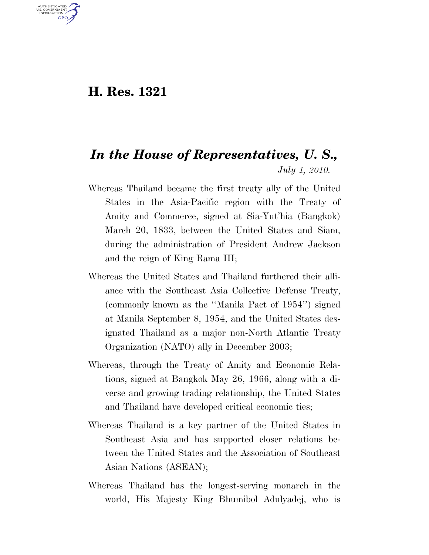## **H. Res. 1321**

U.S. GOVERNMENT GPO

## *In the House of Representatives, U. S., July 1, 2010.*

- Whereas Thailand became the first treaty ally of the United States in the Asia-Pacific region with the Treaty of Amity and Commerce, signed at Sia-Yut'hia (Bangkok) March 20, 1833, between the United States and Siam, during the administration of President Andrew Jackson and the reign of King Rama III;
- Whereas the United States and Thailand furthered their alliance with the Southeast Asia Collective Defense Treaty, (commonly known as the ''Manila Pact of 1954'') signed at Manila September 8, 1954, and the United States designated Thailand as a major non-North Atlantic Treaty Organization (NATO) ally in December 2003;
- Whereas, through the Treaty of Amity and Economic Relations, signed at Bangkok May 26, 1966, along with a diverse and growing trading relationship, the United States and Thailand have developed critical economic ties;
- Whereas Thailand is a key partner of the United States in Southeast Asia and has supported closer relations between the United States and the Association of Southeast Asian Nations (ASEAN);
- Whereas Thailand has the longest-serving monarch in the world, His Majesty King Bhumibol Adulyadej, who is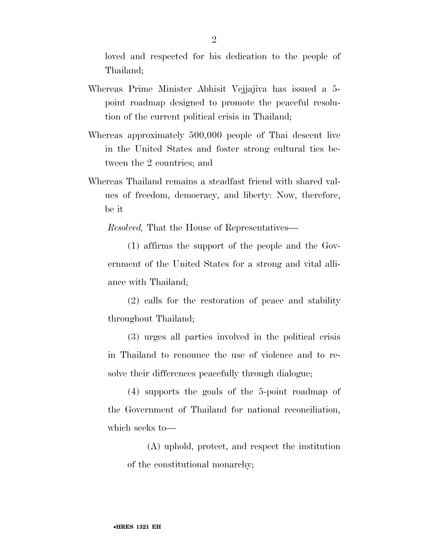loved and respected for his dedication to the people of Thailand;

- Whereas Prime Minister Abhisit Vejjajiva has issued a 5 point roadmap designed to promote the peaceful resolution of the current political crisis in Thailand;
- Whereas approximately 500,000 people of Thai descent live in the United States and foster strong cultural ties between the 2 countries; and
- Whereas Thailand remains a steadfast friend with shared values of freedom, democracy, and liberty: Now, therefore, be it

*Resolved,* That the House of Representatives—

(1) affirms the support of the people and the Government of the United States for a strong and vital alliance with Thailand;

(2) calls for the restoration of peace and stability throughout Thailand;

(3) urges all parties involved in the political crisis in Thailand to renounce the use of violence and to resolve their differences peacefully through dialogue;

(4) supports the goals of the 5-point roadmap of the Government of Thailand for national reconciliation, which seeks to—

(A) uphold, protect, and respect the institution of the constitutional monarchy;